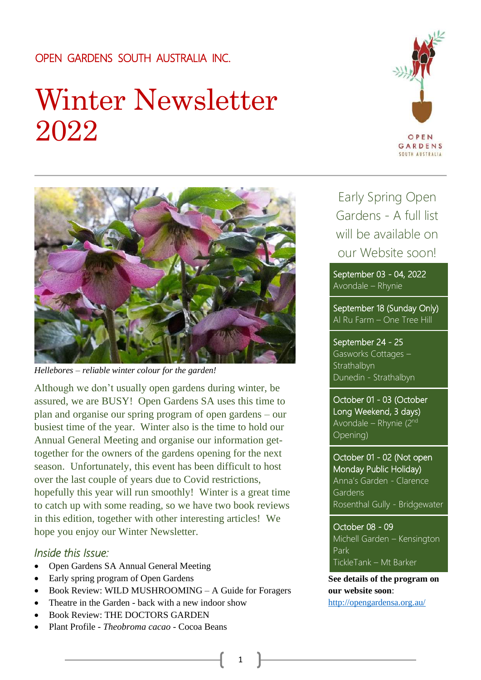### OPEN GARDENS SOUTH AUSTRALIA INC.

# Winter Newsletter 2022





*Hellebores – reliable winter colour for the garden!*

Although we don't usually open gardens during winter, be assured, we are BUSY! Open Gardens SA uses this time to plan and organise our spring program of open gardens – our busiest time of the year. Winter also is the time to hold our Annual General Meeting and organise our information gettogether for the owners of the gardens opening for the next season. Unfortunately, this event has been difficult to host over the last couple of years due to Covid restrictions, hopefully this year will run smoothly! Winter is a great time to catch up with some reading, so we have two book reviews in this edition, together with other interesting articles! We hope you enjoy our Winter Newsletter.

### *Inside this Issue:*

- Open Gardens SA Annual General Meeting
- Early spring program of Open Gardens
- Book Review: WILD MUSHROOMING A Guide for Foragers
- Theatre in the Garden back with a new indoor show
- Book Review: THE DOCTORS GARDEN
- Plant Profile *Theobroma cacao* Cocoa Beans

Early Spring Open Gardens - A full list will be available on our Website soon!

September 03 - 04, 2022 Avondale – Rhynie

September 18 (Sunday Only) Al Ru Farm – One Tree Hill

September 24 - 25 Gasworks Cottages – **Strathalbyn** Dunedin - Strathalbyn

October 01 - 03 (October Long Weekend, 3 days) Avondale – Rhynie (2nd Opening)

October 01 - 02 (Not open Monday Public Holiday) Anna's Garden - Clarence Gardens Rosenthal Gully - Bridgewater

October 08 - 09 Michell Garden – Kensington Park TickleTank – Mt Barker

**See details of the program on our website soon**: <http://opengardensa.org.au/>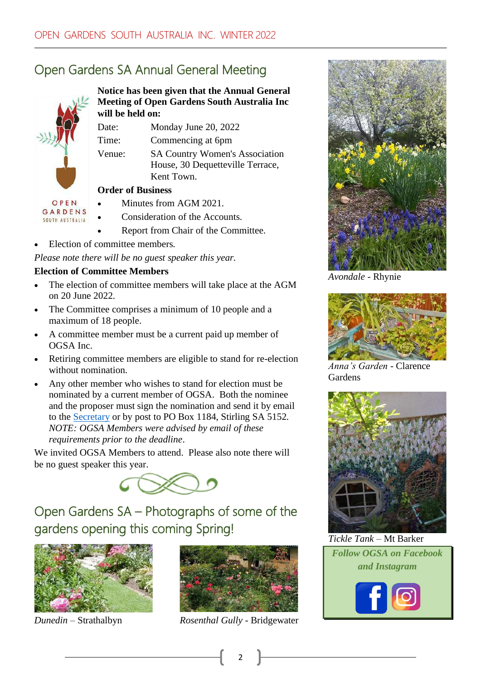# Open Gardens SA Annual General Meeting



**Notice has been given that the Annual General Meeting of Open Gardens South Australia Inc will be held on:**

Date: Monday June 20, 2022

Time: Commencing at 6pm

Venue: SA Country Women's Association House, 30 Dequetteville Terrace, Kent Town.

### **Order of Business**

- Minutes from AGM 2021.
- Consideration of the Accounts.
- Report from Chair of the Committee.
- Election of committee members.

*Please note there will be no guest speaker this year.*

### **Election of Committee Members**

- The election of committee members will take place at the AGM on 20 June 2022.
- The Committee comprises a minimum of 10 people and a maximum of 18 people.
- A committee member must be a current paid up member of OGSA Inc.
- Retiring committee members are eligible to stand for re-election without nomination.
- Any other member who wishes to stand for election must be nominated by a current member of OGSA. Both the nominee and the proposer must sign the nomination and send it by email to the [Secretary](mailto:knowlerjane@gmail.com) or by post to PO Box 1184, Stirling SA 5152. *NOTE: OGSA Members were advised by email of these requirements prior to the deadline*.

We invited OGSA Members to attend. Please also note there will be no guest speaker this year.



Open Gardens SA – Photographs of some of the gardens opening this coming Spring!





*Dunedin* – Strathalbyn *Rosenthal Gully* - Bridgewater



*Avondale* - Rhynie



*Anna's Garden* - Clarence **Gardens** 



*Tickle Tank* – Mt Barker *Follow OGSA on Facebook and Instagram*

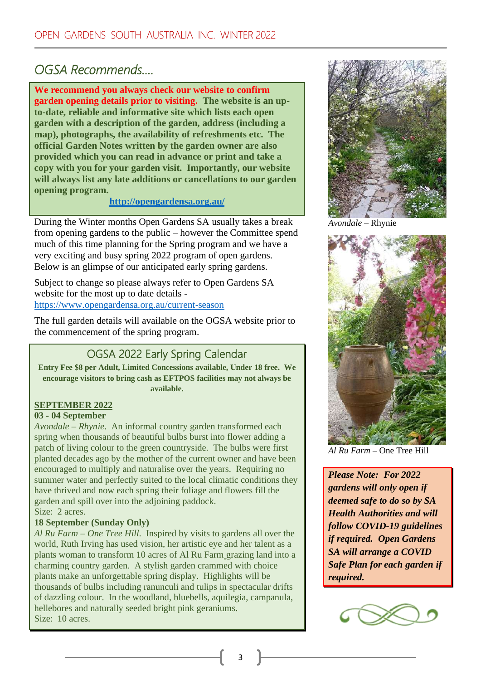### *OGSA Recommends….*

**We recommend you always check our website to confirm garden opening details prior to visiting. The website is an upto-date, reliable and informative site which lists each open garden with a description of the garden, address (including a map), photographs, the availability of refreshments etc. The official Garden Notes written by the garden owner are also provided which you can read in advance or print and take a copy with you for your garden visit. Importantly, our website will always list any late additions or cancellations to our garden opening program.**

### **<http://opengardensa.org.au/>**

During the Winter months Open Gardens SA usually takes a break from opening gardens to the public – however the Committee spend much of this time planning for the Spring program and we have a very exciting and busy spring 2022 program of open gardens. Below is an glimpse of our anticipated early spring gardens.

Subject to change so please always refer to Open Gardens SA website for the most up to date details <https://www.opengardensa.org.au/current-season>

The full garden details will available on the OGSA website prior to the commencement of the spring program.

### OGSA 2022 Early Spring Calendar

**Entry Fee \$8 per Adult, Limited Concessions available, Under 18 free. We encourage visitors to bring cash as EFTPOS facilities may not always be available.**

### **SEPTEMBER 2022**

#### **03 - 04 September**

*Avondale – Rhynie*. An informal country garden transformed each spring when thousands of beautiful bulbs burst into flower adding a patch of living colour to the green countryside. The bulbs were first planted decades ago by the mother of the current owner and have been encouraged to multiply and naturalise over the years. Requiring no summer water and perfectly suited to the local climatic conditions they have thrived and now each spring their foliage and flowers fill the garden and spill over into the adjoining paddock. Size: 2 acres.

#### **18 September (Sunday Only)**

*Al Ru Farm – One Tree Hill*. Inspired by visits to gardens all over the world, Ruth Irving has used vision, her artistic eye and her talent as a plants woman to transform 10 acres of Al Ru Farm grazing land into a charming country garden. A stylish garden crammed with choice plants make an unforgettable spring display. Highlights will be thousands of bulbs including ranunculi and tulips in spectacular drifts of dazzling colour. In the woodland, bluebells, aquilegia, campanula, hellebores and naturally seeded bright pink geraniums. Size: 10 acres.



*Avondale –* Rhynie



*Al Ru Farm –* One Tree Hill

*Please Note: For 2022 gardens will only open if deemed safe to do so by SA Health Authorities and will follow COVID-19 guidelines if required. Open Gardens SA will arrange a COVID Safe Plan for each garden if required.*

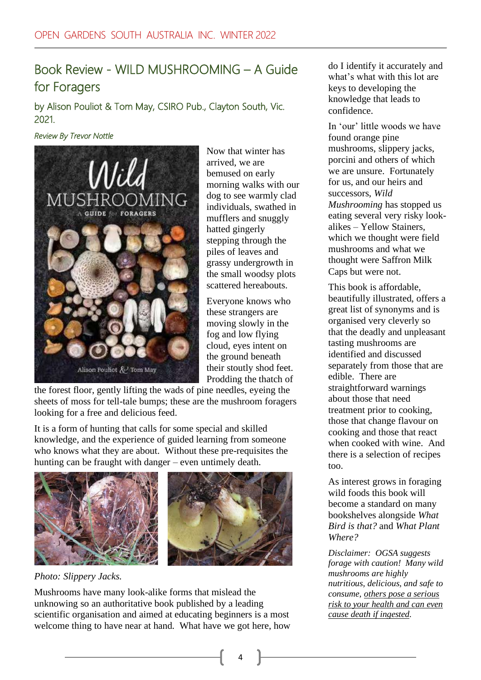### Book Review - WILD MUSHROOMING – A Guide for Foragers

by Alison Pouliot & Tom May, CSIRO Pub., Clayton South, Vic. 2021.

#### *Review By Trevor Nottle*



Now that winter has arrived, we are bemused on early morning walks with our dog to see warmly clad individuals, swathed in mufflers and snuggly hatted gingerly stepping through the piles of leaves and grassy undergrowth in the small woodsy plots scattered hereabouts.

Everyone knows who these strangers are moving slowly in the fog and low flying cloud, eyes intent on the ground beneath their stoutly shod feet. Prodding the thatch of

the forest floor, gently lifting the wads of pine needles, eyeing the sheets of moss for tell-tale bumps; these are the mushroom foragers looking for a free and delicious feed.

It is a form of hunting that calls for some special and skilled knowledge, and the experience of guided learning from someone who knows what they are about. Without these pre-requisites the hunting can be fraught with danger – even untimely death.



*Photo: Slippery Jacks.*

Mushrooms have many look-alike forms that mislead the unknowing so an authoritative book published by a leading scientific organisation and aimed at educating beginners is a most welcome thing to have near at hand. What have we got here, how

do I identify it accurately and what's what with this lot are keys to developing the knowledge that leads to confidence.

In 'our' little woods we have found orange pine mushrooms, slippery jacks, porcini and others of which we are unsure. Fortunately for us, and our heirs and successors, *Wild Mushrooming* has stopped us eating several very risky lookalikes – Yellow Stainers, which we thought were field mushrooms and what we thought were Saffron Milk Caps but were not.

This book is affordable, beautifully illustrated, offers a great list of synonyms and is organised very cleverly so that the deadly and unpleasant tasting mushrooms are identified and discussed separately from those that are edible. There are straightforward warnings about those that need treatment prior to cooking, those that change flavour on cooking and those that react when cooked with wine. And there is a selection of recipes too.

As interest grows in foraging wild foods this book will become a standard on many bookshelves alongside *What Bird is that?* and *What Plant Where?*

*Disclaimer: OGSA suggests forage with caution! Many wild mushrooms are highly nutritious, delicious, and safe to consume, others pose a serious risk to your health and can even cause death if ingested.*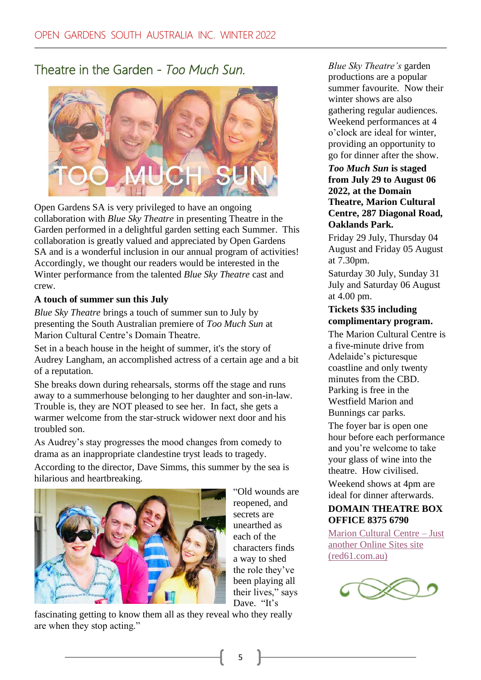Theatre in the Garden - *Too Much Sun.* 



Open Gardens SA is very privileged to have an ongoing collaboration with *Blue Sky Theatre* in presenting Theatre in the Garden performed in a delightful garden setting each Summer. This collaboration is greatly valued and appreciated by Open Gardens SA and is a wonderful inclusion in our annual program of activities! Accordingly, we thought our readers would be interested in the Winter performance from the talented *Blue Sky Theatre* cast and crew.

### **A touch of summer sun this July**

*Blue Sky Theatre* brings a touch of summer sun to July by presenting the South Australian premiere of *Too Much Sun* at Marion Cultural Centre's Domain Theatre*.*

Set in a beach house in the height of summer, it's the story of Audrey Langham, an accomplished actress of a certain age and a bit of a reputation.

She breaks down during rehearsals, storms off the stage and runs away to a summerhouse belonging to her daughter and son-in-law. Trouble is, they are NOT pleased to see her. In fact, she gets a warmer welcome from the star-struck widower next door and his troubled son.

As Audrey's stay progresses the mood changes from comedy to drama as an inappropriate clandestine tryst leads to tragedy.

According to the director, Dave Simms, this summer by the sea is hilarious and heartbreaking.



"Old wounds are reopened, and secrets are unearthed as each of the characters finds a way to shed the role they've been playing all their lives," says Dave. "It's

fascinating getting to know them all as they reveal who they really are when they stop acting."

*Blue Sky Theatre's* garden productions are a popular summer favourite. Now their winter shows are also gathering regular audiences. Weekend performances at 4 o'clock are ideal for winter, providing an opportunity to go for dinner after the show.

#### *Too Much Sun* **is staged from July 29 to August 06 2022, at the Domain Theatre, Marion Cultural Centre, 287 Diagonal Road, Oaklands Park.**

Friday 29 July, Thursday 04 August and Friday 05 August at 7.30pm.

Saturday 30 July, Sunday 31 July and Saturday 06 August at 4.00 pm.

### **Tickets \$35 including complimentary program.**

The Marion Cultural Centre is a five-minute drive from Adelaide's picturesque coastline and only twenty minutes from the CBD. Parking is free in the Westfield Marion and Bunnings car parks.

The foyer bar is open one hour before each performance and you're welcome to take your glass of wine into the theatre. How civilised.

Weekend shows at 4pm are ideal for dinner afterwards.

### **DOMAIN THEATRE BOX OFFICE 8375 6790**

[Marion Cultural Centre](https://marion.online.red61.com.au/event/318:629/) – Just [another Online Sites site](https://marion.online.red61.com.au/event/318:629/)  [\(red61.com.au\)](https://marion.online.red61.com.au/event/318:629/)

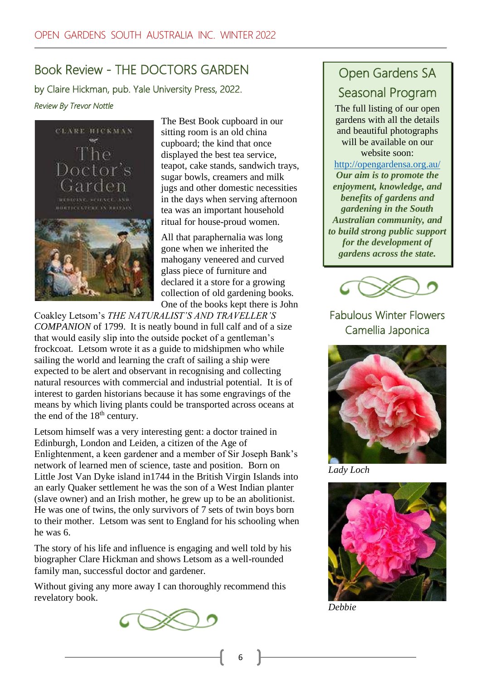# Book Review - THE DOCTORS GARDEN

by Claire Hickman, pub. Yale University Press, 2022. *Review By Trevor Nottle*



The Best Book cupboard in our sitting room is an old china cupboard; the kind that once displayed the best tea service, teapot, cake stands, sandwich trays, sugar bowls, creamers and milk jugs and other domestic necessities in the days when serving afternoon tea was an important household ritual for house-proud women.

All that paraphernalia was long gone when we inherited the mahogany veneered and curved glass piece of furniture and declared it a store for a growing collection of old gardening books. One of the books kept there is John

Coakley Letsom's *THE NATURALIST'S AND TRAVELLER'S COMPANION* of 1799. It is neatly bound in full calf and of a size that would easily slip into the outside pocket of a gentleman's frockcoat. Letsom wrote it as a guide to midshipmen who while sailing the world and learning the craft of sailing a ship were expected to be alert and observant in recognising and collecting natural resources with commercial and industrial potential. It is of interest to garden historians because it has some engravings of the means by which living plants could be transported across oceans at the end of the  $18<sup>th</sup>$  century.

Letsom himself was a very interesting gent: a doctor trained in Edinburgh, London and Leiden, a citizen of the Age of Enlightenment, a keen gardener and a member of Sir Joseph Bank's network of learned men of science, taste and position. Born on Little Jost Van Dyke island in1744 in the British Virgin Islands into an early Quaker settlement he was the son of a West Indian planter (slave owner) and an Irish mother, he grew up to be an abolitionist. He was one of twins, the only survivors of 7 sets of twin boys born to their mother. Letsom was sent to England for his schooling when he was 6.

The story of his life and influence is engaging and well told by his biographer Clare Hickman and shows Letsom as a well-rounded family man, successful doctor and gardener.

Without giving any more away I can thoroughly recommend this revelatory book.



# Open Gardens SA Seasonal Program

The full listing of our open gardens with all the details and beautiful photographs will be available on our website soon:

<http://opengardensa.org.au/> *Our aim is to promote the enjoyment, knowledge, and benefits of gardens and gardening in the South Australian community, and to build strong public support for the development of gardens across the state.*



### Fabulous Winter Flowers Camellia Japonica



*Lady Loch*



*Debbie*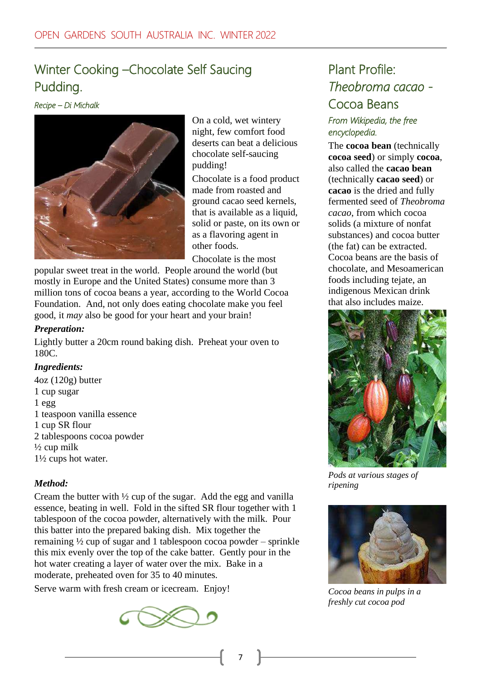# Winter Cooking –Chocolate Self Saucing Pudding.

*Recipe – Di Michalk*



On a cold, wet wintery night, few comfort food deserts can beat a delicious chocolate self-saucing pudding!

Chocolate is a food product made from roasted and ground cacao seed kernels, that is available as a liquid, solid or paste, on its own or as a flavoring agent in other foods.

Chocolate is the most

popular sweet treat in the world. People around the world (but mostly in Europe and the United States) consume more than 3 million tons of cocoa beans a year, according to the World Cocoa Foundation. And, not only does eating chocolate make you feel good, it *may* also be good for your heart and your brain!

### *Preperation:*

Lightly butter a 20cm round baking dish. Preheat your oven to 180C.

### *Ingredients:*

4oz (120g) butter 1 cup sugar 1 egg 1 teaspoon vanilla essence 1 cup SR flour 2 tablespoons cocoa powder  $\frac{1}{2}$  cup milk 1½ cups hot water.

### *Method:*

Cream the butter with ½ cup of the sugar. Add the egg and vanilla essence, beating in well. Fold in the sifted SR flour together with 1 tablespoon of the cocoa powder, alternatively with the milk. Pour this batter into the prepared baking dish. Mix together the remaining ½ cup of sugar and 1 tablespoon cocoa powder – sprinkle this mix evenly over the top of the cake batter. Gently pour in the hot water creating a layer of water over the mix. Bake in a moderate, preheated oven for 35 to 40 minutes.

Serve warm with fresh cream or icecream. Enjoy!



# Plant Profile: *Theobroma cacao* - Cocoa Beans

### *From Wikipedia, the free encyclopedia.*

The **cocoa bean** (technically **cocoa seed**) or simply **cocoa**, also called the **cacao bean** (technically **cacao seed**) or **cacao** is the dried and fully fermented seed of *Theobroma cacao*, from which cocoa solids (a mixture of nonfat substances) and cocoa butter (the fat) can be extracted. Cocoa beans are the basis of chocolate, and Mesoamerican foods including tejate, an indigenous Mexican drink that also includes maize.



*Pods at various stages of ripening*



*Cocoa beans in pulps in a freshly cut cocoa pod*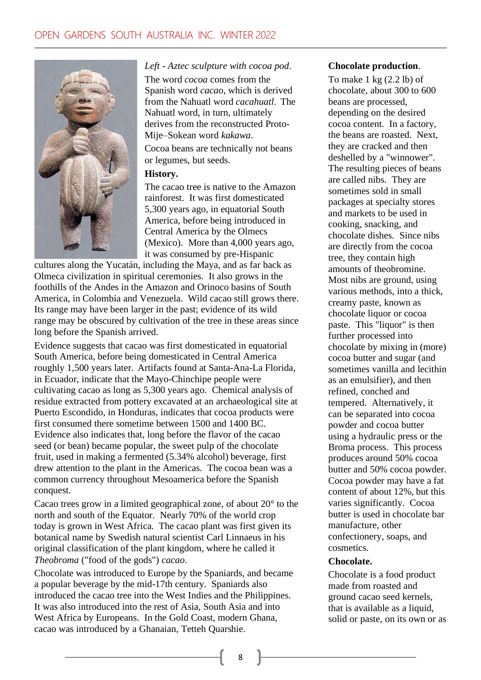

*Left - Aztec sculpture with cocoa pod.* The word *cocoa* comes from the Spanish word *cacao*, which is derived from the Nahuatl word *cacahuatl*. The Nahuatl word, in turn, ultimately derives from the reconstructed Proto-Mije–Sokean word *kakawa*.

Cocoa beans are technically not beans or legumes, but seeds.

#### **History.**

The cacao tree is native to the Amazon rainforest. It was first domesticated 5,300 years ago, in equatorial South America, before being introduced in Central America by the Olmecs (Mexico). More than 4,000 years ago, it was consumed by pre-Hispanic

cultures along the Yucatán, including the Maya, and as far back as Olmeca civilization in spiritual ceremonies. It also grows in the foothills of the Andes in the Amazon and Orinoco basins of South America, in Colombia and Venezuela. Wild cacao still grows there. Its range may have been larger in the past; evidence of its wild range may be obscured by cultivation of the tree in these areas since long before the Spanish arrived.

Evidence suggests that cacao was first domesticated in equatorial South America, before being domesticated in Central America roughly 1,500 years later. Artifacts found at Santa-Ana-La Florida, in Ecuador, indicate that the Mayo-Chinchipe people were cultivating cacao as long as 5,300 years ago. Chemical analysis of residue extracted from pottery excavated at an archaeological site at Puerto Escondido, in Honduras, indicates that cocoa products were first consumed there sometime between 1500 and 1400 BC. Evidence also indicates that, long before the flavor of the cacao seed (or bean) became popular, the sweet pulp of the chocolate fruit, used in making a fermented (5.34% alcohol) beverage, first drew attention to the plant in the Americas. The cocoa bean was a common currency throughout Mesoamerica before the Spanish conquest.

Cacao trees grow in a limited geographical zone, of about 20° to the north and south of the Equator. Nearly 70% of the world crop today is grown in West Africa. The cacao plant was first given its botanical name by Swedish natural scientist Carl Linnaeus in his original classification of the plant kingdom, where he called it *Theobroma* ("food of the gods") *cacao*.

Chocolate was introduced to Europe by the Spaniards, and became a popular beverage by the mid-17th century. Spaniards also introduced the cacao tree into the West Indies and the Philippines. It was also introduced into the rest of Asia, South Asia and into West Africa by Europeans. In the Gold Coast, modern Ghana, cacao was introduced by a Ghanaian, Tetteh Quarshie.

#### **Chocolate production**.

To make  $1 \text{ kg}$  (2.2 lb) of chocolate, about 300 to 600 beans are processed, depending on the desired cocoa content. In a factory, the beans are roasted. Next, they are cracked and then deshelled by a "winnower". The resulting pieces of beans are called nibs. They are sometimes sold in small packages at specialty stores and markets to be used in cooking, snacking, and chocolate dishes. Since nibs are directly from the cocoa tree, they contain high amounts of theobromine. Most nibs are ground, using various methods, into a thick, creamy paste, known as chocolate liquor or cocoa paste. This "liquor" is then further processed into chocolate by mixing in (more) cocoa butter and sugar (and sometimes vanilla and lecithin as an emulsifier), and then refined, conched and tempered. Alternatively, it can be separated into cocoa powder and cocoa butter using a hydraulic press or the Broma process. This process produces around 50% cocoa butter and 50% cocoa powder. Cocoa powder may have a fat content of about 12%, but this varies significantly. Cocoa butter is used in chocolate bar manufacture, other confectionery, soaps, and cosmetics.

#### **Chocolate.**

Chocolate is a food product made from roasted and ground cacao seed kernels, that is available as a liquid, solid or paste, on its own or as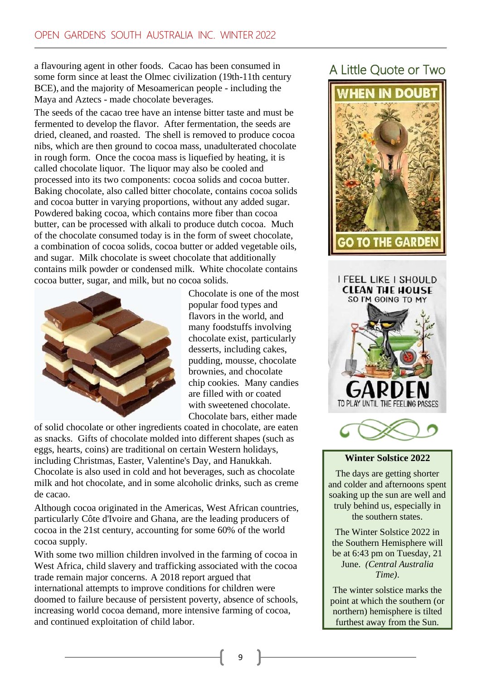a flavouring agent in other foods. Cacao has been consumed in some form since at least the Olmec civilization (19th-11th century BCE), and the majority of Mesoamerican people - including the Maya and Aztecs - made chocolate beverages.

The seeds of the cacao tree have an intense bitter taste and must be fermented to develop the flavor. After fermentation, the seeds are dried, cleaned, and roasted. The shell is removed to produce cocoa nibs, which are then ground to cocoa mass, unadulterated chocolate in rough form. Once the cocoa mass is liquefied by heating, it is called chocolate liquor. The liquor may also be cooled and processed into its two components: cocoa solids and cocoa butter. Baking chocolate, also called bitter chocolate, contains cocoa solids and cocoa butter in varying proportions, without any added sugar. Powdered baking cocoa, which contains more fiber than cocoa butter, can be processed with alkali to produce dutch cocoa. Much of the chocolate consumed today is in the form of sweet chocolate, a combination of cocoa solids, cocoa butter or added vegetable oils, and sugar. Milk chocolate is sweet chocolate that additionally contains milk powder or condensed milk. White chocolate contains cocoa butter, sugar, and milk, but no cocoa solids.



Chocolate is one of the most popular food types and flavors in the world, and many foodstuffs involving chocolate exist, particularly desserts, including cakes, pudding, mousse, chocolate brownies, and chocolate chip cookies. Many candies are filled with or coated with sweetened chocolate. Chocolate bars, either made

of solid chocolate or other ingredients coated in chocolate, are eaten as snacks. Gifts of chocolate molded into different shapes (such as eggs, hearts, coins) are traditional on certain Western holidays, including Christmas, Easter, Valentine's Day, and Hanukkah. Chocolate is also used in cold and hot beverages, such as chocolate milk and hot chocolate, and in some alcoholic drinks, such as creme de cacao.

Although cocoa originated in the Americas, West African countries, particularly Côte d'Ivoire and Ghana, are the leading producers of cocoa in the 21st century, accounting for some 60% of the world cocoa supply.

With some two million children involved in the farming of cocoa in West Africa, child slavery and trafficking associated with the cocoa trade remain major concerns. A 2018 report argued that international attempts to improve conditions for children were doomed to failure because of persistent poverty, absence of schools, increasing world cocoa demand, more intensive farming of cocoa, and continued exploitation of child labor.

# A Little Quote or Two







### **Winter Solstice 2022**

The days are getting shorter and colder and afternoons spent soaking up the sun are well and truly behind us, especially in the southern states.

The Winter Solstice 2022 in the Southern Hemisphere will be at 6:43 pm on Tuesday, 21 June. *(Central Australia Time)*.

The winter solstice marks the point at which the southern (or northern) hemisphere is tilted furthest away from the Sun.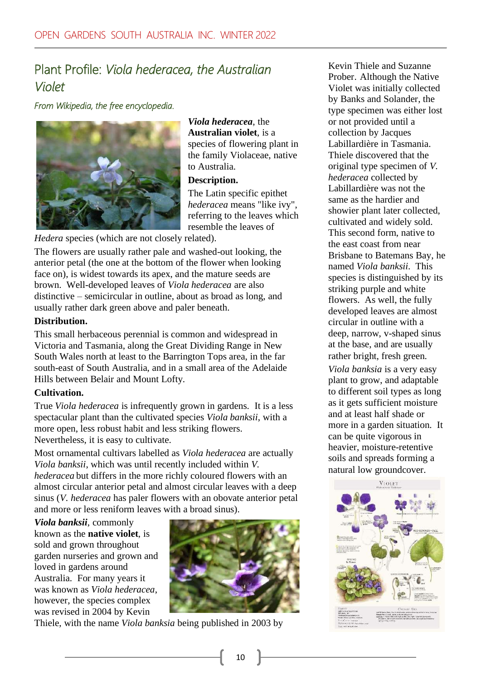### Plant Profile: *Viola hederacea, the Australian Violet*

*From Wikipedia, the free encyclopedia.* 



*Viola hederacea*, the **Australian violet**, is a species of flowering plant in the family Violaceae, native to Australia.

#### **Description.**

The Latin specific epithet *hederacea* means "like ivy", referring to the leaves which resemble the leaves of

*Hedera* species (which are not closely related).

The flowers are usually rather pale and washed-out looking, the anterior petal (the one at the bottom of the flower when looking face on), is widest towards its apex, and the mature seeds are brown. Well-developed leaves of *Viola hederacea* are also distinctive – semicircular in outline, about as broad as long, and usually rather dark green above and paler beneath.

### **Distribution.**

This small herbaceous perennial is common and widespread in Victoria and Tasmania, along the Great Dividing Range in New South Wales north at least to the Barrington Tops area, in the far south-east of South Australia, and in a small area of the Adelaide Hills between Belair and Mount Lofty.

### **Cultivation.**

True *Viola hederacea* is infrequently grown in gardens. It is a less spectacular plant than the cultivated species *Viola banksii*, with a more open, less robust habit and less striking flowers. Nevertheless, it is easy to cultivate.

Most ornamental cultivars labelled as *Viola hederacea* are actually *Viola banksii*, which was until recently included within *V. hederacea* but differs in the more richly coloured flowers with an almost circular anterior petal and almost circular leaves with a deep sinus (*V. hederacea* has paler flowers with an obovate anterior petal and more or less reniform leaves with a broad sinus).

*Viola banksii*, commonly

known as the **native violet**, is sold and grown throughout garden nurseries and grown and loved in gardens around Australia. For many years it was known as *Viola hederacea*, however, the species complex was revised in 2004 by Kevin



Thiele, with the name *Viola banksia* being published in 2003 by

Kevin Thiele and Suzanne Prober. Although the Native Violet was initially collected by Banks and Solander, the type specimen was either lost or not provided until a collection by Jacques Labillardière in Tasmania. Thiele discovered that the original type specimen of *V. hederacea* collected by Labillardière was not the same as the hardier and showier plant later collected, cultivated and widely sold. This second form, native to the east coast from near Brisbane to Batemans Bay, he named *Viola banksii*. This species is distinguished by its striking purple and white flowers. As well, the fully developed leaves are almost circular in outline with a deep, narrow, v-shaped sinus at the base, and are usually rather bright, fresh green.

*Viola banksia* is a very easy plant to grow, and adaptable to different soil types as long as it gets sufficient moisture and at least half shade or more in a garden situation. It can be quite vigorous in heavier, moisture-retentive soils and spreads forming a natural low groundcover.

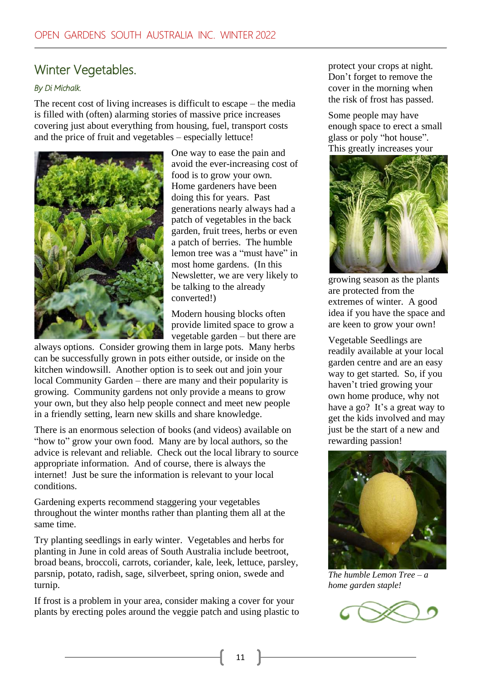### Winter Vegetables.

### *By Di Michalk.*

The recent cost of living increases is difficult to escape – the media is filled with (often) alarming stories of massive price increases covering just about everything from housing, fuel, transport costs and the price of fruit and vegetables – especially lettuce!



One way to ease the pain and avoid the ever-increasing cost of food is to grow your own. Home gardeners have been doing this for years. Past generations nearly always had a patch of vegetables in the back garden, fruit trees, herbs or even a patch of berries. The humble lemon tree was a "must have" in most home gardens. (In this Newsletter, we are very likely to be talking to the already converted!)

Modern housing blocks often provide limited space to grow a vegetable garden – but there are

always options. Consider growing them in large pots. Many herbs can be successfully grown in pots either outside, or inside on the kitchen windowsill. Another option is to seek out and join your local Community Garden – there are many and their popularity is growing. Community gardens not only provide a means to grow your own, but they also help people connect and meet new people in a friendly setting, learn new skills and share knowledge.

There is an enormous selection of books (and videos) available on "how to" grow your own food. Many are by local authors, so the advice is relevant and reliable. Check out the local library to source appropriate information. And of course, there is always the internet! Just be sure the information is relevant to your local conditions.

Gardening experts recommend staggering your vegetables throughout the winter months rather than planting them all at the same time.

Try planting seedlings in early winter. Vegetables and herbs for planting in June in cold areas of South Australia include beetroot, broad beans, broccoli, carrots, coriander, kale, leek, lettuce, parsley, parsnip, potato, radish, sage, silverbeet, spring onion, swede and turnip.

If frost is a problem in your area, consider making a cover for your plants by erecting poles around the veggie patch and using plastic to

protect your crops at night. Don't forget to remove the cover in the morning when the risk of frost has passed.

Some people may have enough space to erect a small glass or poly "hot house". This greatly increases your



growing season as the plants are protected from the extremes of winter. A good idea if you have the space and are keen to grow your own!

Vegetable Seedlings are readily available at your local garden centre and are an easy way to get started. So, if you haven't tried growing your own home produce, why not have a go? It's a great way to get the kids involved and may just be the start of a new and rewarding passion!



*The humble Lemon Tree – a home garden staple!*